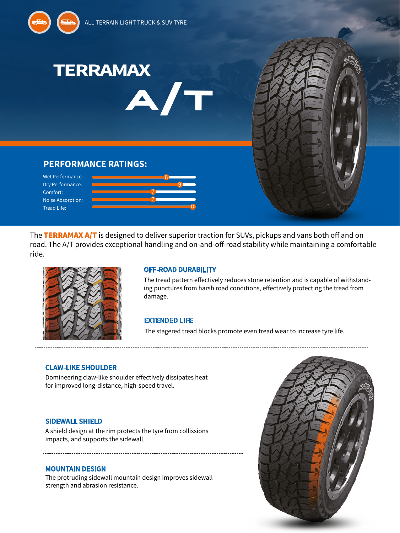

The TERRAMAX A/T is designed to deliver superior traction for SUVs, pickups and vans both off and on road. The A/T provides exceptional handling and on-and-off-road stability while maintaining a comfortable ride.

10



Tread Life:

## **OFF-ROAD DURABILITY**

The tread pattern effectively reduces stone retention and is capable of withstanding punctures from harsh road conditions, effectively protecting the tread from damage.

# **EXTENDED LIFE**

The stagered tread blocks promote even tread wear to increase tyre life.

## **CLAW-LIKE SHOULDER**

Domineering claw-like shoulder effectively dissipates heat for improved long-distance, high-speed travel.

### **SIDEWALL SHIELD**

A shield design at the rim protects the tyre from collissions impacts, and supports the sidewall.

## **MOUNTAIN DESIGN**

The protruding sidewall mountain design improves sidewall strength and abrasion resistance.